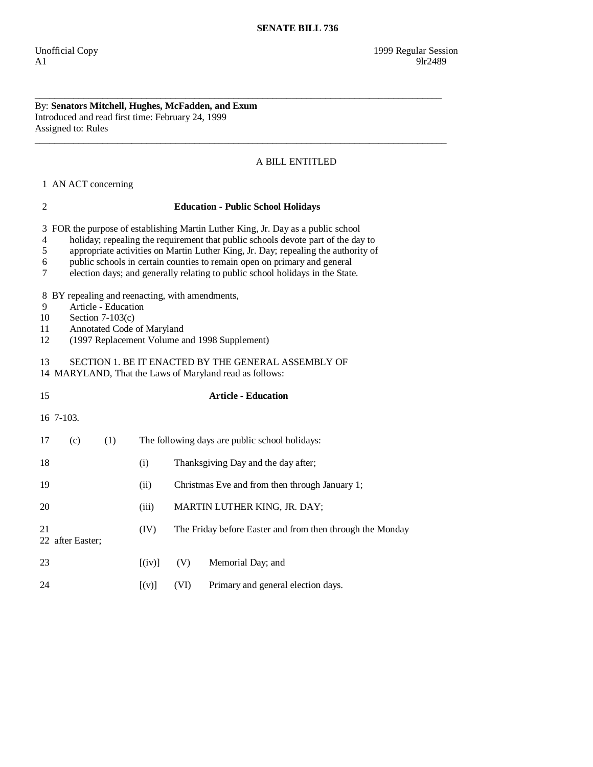## By: **Senators Mitchell, Hughes, McFadden, and Exum**  Introduced and read first time: February 24, 1999 Assigned to: Rules

## A BILL ENTITLED

1 AN ACT concerning

## 2 **Education - Public School Holidays**  3 FOR the purpose of establishing Martin Luther King, Jr. Day as a public school 4 holiday; repealing the requirement that public schools devote part of the day to 5 appropriate activities on Martin Luther King, Jr. Day; repealing the authority of 6 public schools in certain counties to remain open on primary and general 7 election days; and generally relating to public school holidays in the State. 8 BY repealing and reenacting, with amendments, 9 Article - Education 10 Section 7-103(c) 11 Annotated Code of Maryland 12 (1997 Replacement Volume and 1998 Supplement) 13 SECTION 1. BE IT ENACTED BY THE GENERAL ASSEMBLY OF 14 MARYLAND, That the Laws of Maryland read as follows: 15 **Article - Education**  16 7-103. 17 (c) (1) The following days are public school holidays: 18 (i) Thanksgiving Day and the day after; 19 (ii) Christmas Eve and from then through January 1; 20 (iii) MARTIN LUTHER KING, JR. DAY; 21 (IV) The Friday before Easter and from then through the Monday 22 after Easter; 23 [(iv)] (V) Memorial Day; and 24 [(v)] (VI) Primary and general election days.

\_\_\_\_\_\_\_\_\_\_\_\_\_\_\_\_\_\_\_\_\_\_\_\_\_\_\_\_\_\_\_\_\_\_\_\_\_\_\_\_\_\_\_\_\_\_\_\_\_\_\_\_\_\_\_\_\_\_\_\_\_\_\_\_\_\_\_\_\_\_\_\_\_\_\_\_\_\_\_\_\_\_\_\_

\_\_\_\_\_\_\_\_\_\_\_\_\_\_\_\_\_\_\_\_\_\_\_\_\_\_\_\_\_\_\_\_\_\_\_\_\_\_\_\_\_\_\_\_\_\_\_\_\_\_\_\_\_\_\_\_\_\_\_\_\_\_\_\_\_\_\_\_\_\_\_\_\_\_\_\_\_\_\_\_\_\_\_\_\_